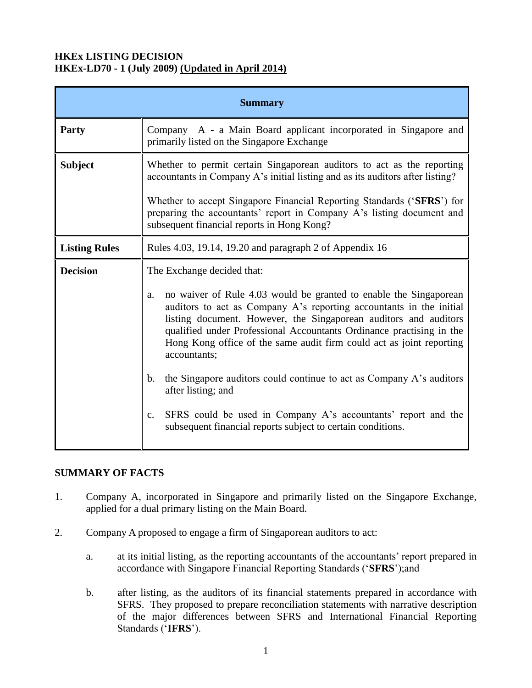### **HKEx LISTING DECISION HKEx-LD70 - 1 (July 2009) (Updated in April 2014)**

| <b>Summary</b>       |                                                                                                                                                                                                                                                                                                                                                                                                                                                                                                                                        |
|----------------------|----------------------------------------------------------------------------------------------------------------------------------------------------------------------------------------------------------------------------------------------------------------------------------------------------------------------------------------------------------------------------------------------------------------------------------------------------------------------------------------------------------------------------------------|
| Party                | Company A - a Main Board applicant incorporated in Singapore and<br>primarily listed on the Singapore Exchange                                                                                                                                                                                                                                                                                                                                                                                                                         |
| <b>Subject</b>       | Whether to permit certain Singaporean auditors to act as the reporting<br>accountants in Company A's initial listing and as its auditors after listing?<br>Whether to accept Singapore Financial Reporting Standards ('SFRS') for<br>preparing the accountants' report in Company A's listing document and<br>subsequent financial reports in Hong Kong?                                                                                                                                                                               |
| <b>Listing Rules</b> | Rules 4.03, 19.14, 19.20 and paragraph 2 of Appendix 16                                                                                                                                                                                                                                                                                                                                                                                                                                                                                |
| <b>Decision</b>      | The Exchange decided that:<br>no waiver of Rule 4.03 would be granted to enable the Singaporean<br>a.<br>auditors to act as Company A's reporting accountants in the initial<br>listing document. However, the Singaporean auditors and auditors<br>qualified under Professional Accountants Ordinance practising in the<br>Hong Kong office of the same audit firm could act as joint reporting<br>accountants;<br>the Singapore auditors could continue to act as Company A's auditors<br>$\mathbf{b}$ .<br>after listing; and<br>c. |
|                      | SFRS could be used in Company A's accountants' report and the<br>subsequent financial reports subject to certain conditions.                                                                                                                                                                                                                                                                                                                                                                                                           |

### **SUMMARY OF FACTS**

- 1. Company A, incorporated in Singapore and primarily listed on the Singapore Exchange, applied for a dual primary listing on the Main Board.
- 2. Company A proposed to engage a firm of Singaporean auditors to act:
	- a. at its initial listing, as the reporting accountants of the accountants' report prepared in accordance with Singapore Financial Reporting Standards ('**SFRS**');and
	- b. after listing, as the auditors of its financial statements prepared in accordance with SFRS. They proposed to prepare reconciliation statements with narrative description of the major differences between SFRS and International Financial Reporting Standards ('**IFRS**').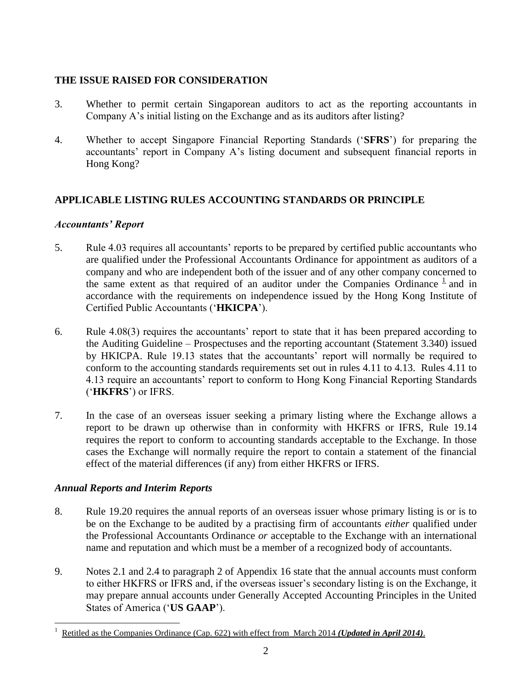## **THE ISSUE RAISED FOR CONSIDERATION**

- 3. Whether to permit certain Singaporean auditors to act as the reporting accountants in Company A's initial listing on the Exchange and as its auditors after listing?
- 4. Whether to accept Singapore Financial Reporting Standards ('**SFRS**') for preparing the accountants' report in Company A's listing document and subsequent financial reports in Hong Kong?

# **APPLICABLE LISTING RULES ACCOUNTING STANDARDS OR PRINCIPLE**

### *Accountants' Report*

- 5. Rule 4.03 requires all accountants' reports to be prepared by certified public accountants who are qualified under the Professional Accountants Ordinance for appointment as auditors of a company and who are independent both of the issuer and of any other company concerned to the same extent as that required of an auditor under the Companies Ordinance  $\frac{1}{n}$  and in accordance with the requirements on independence issued by the Hong Kong Institute of Certified Public Accountants ('**HKICPA**').
- 6. Rule 4.08(3) requires the accountants' report to state that it has been prepared according to the Auditing Guideline – Prospectuses and the reporting accountant (Statement 3.340) issued by HKICPA. Rule 19.13 states that the accountants' report will normally be required to conform to the accounting standards requirements set out in rules 4.11 to 4.13. Rules 4.11 to 4.13 require an accountants' report to conform to Hong Kong Financial Reporting Standards ('**HKFRS**') or IFRS.
- 7. In the case of an overseas issuer seeking a primary listing where the Exchange allows a report to be drawn up otherwise than in conformity with HKFRS or IFRS, Rule 19.14 requires the report to conform to accounting standards acceptable to the Exchange. In those cases the Exchange will normally require the report to contain a statement of the financial effect of the material differences (if any) from either HKFRS or IFRS.

# *Annual Reports and Interim Reports*

- 8. Rule 19.20 requires the annual reports of an overseas issuer whose primary listing is or is to be on the Exchange to be audited by a practising firm of accountants *either* qualified under the Professional Accountants Ordinance *or* acceptable to the Exchange with an international name and reputation and which must be a member of a recognized body of accountants.
- 9. Notes 2.1 and 2.4 to paragraph 2 of Appendix 16 state that the annual accounts must conform to either HKFRS or IFRS and, if the overseas issuer's secondary listing is on the Exchange, it may prepare annual accounts under Generally Accepted Accounting Principles in the United States of America ('**US GAAP**').

 $\overline{a}$ 1 Retitled as the Companies Ordinance (Cap. 622) with effect from March 2014 *(Updated in April 2014)*.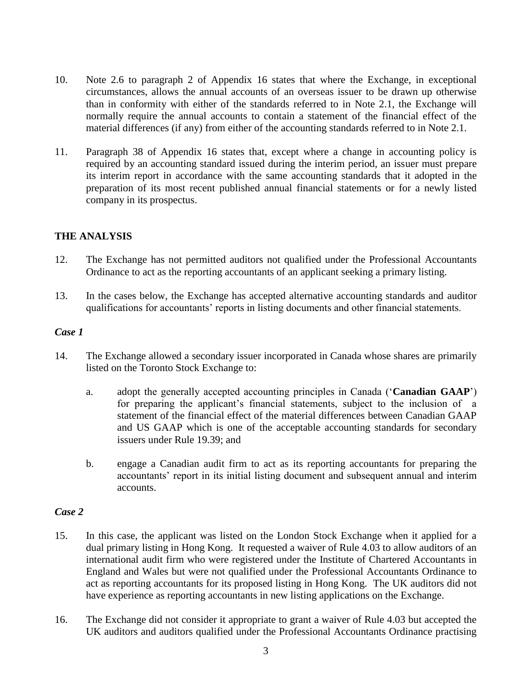- 10. Note 2.6 to paragraph 2 of Appendix 16 states that where the Exchange, in exceptional circumstances, allows the annual accounts of an overseas issuer to be drawn up otherwise than in conformity with either of the standards referred to in Note 2.1, the Exchange will normally require the annual accounts to contain a statement of the financial effect of the material differences (if any) from either of the accounting standards referred to in Note 2.1.
- 11. Paragraph 38 of Appendix 16 states that, except where a change in accounting policy is required by an accounting standard issued during the interim period, an issuer must prepare its interim report in accordance with the same accounting standards that it adopted in the preparation of its most recent published annual financial statements or for a newly listed company in its prospectus.

## **THE ANALYSIS**

- 12. The Exchange has not permitted auditors not qualified under the Professional Accountants Ordinance to act as the reporting accountants of an applicant seeking a primary listing.
- 13. In the cases below, the Exchange has accepted alternative accounting standards and auditor qualifications for accountants' reports in listing documents and other financial statements.

#### *Case 1*

- 14. The Exchange allowed a secondary issuer incorporated in Canada whose shares are primarily listed on the Toronto Stock Exchange to:
	- a. adopt the generally accepted accounting principles in Canada ('**Canadian GAAP**') for preparing the applicant's financial statements, subject to the inclusion of a statement of the financial effect of the material differences between Canadian GAAP and US GAAP which is one of the acceptable accounting standards for secondary issuers under Rule 19.39; and
	- b. engage a Canadian audit firm to act as its reporting accountants for preparing the accountants' report in its initial listing document and subsequent annual and interim accounts.

#### *Case 2*

- 15. In this case, the applicant was listed on the London Stock Exchange when it applied for a dual primary listing in Hong Kong. It requested a waiver of Rule 4.03 to allow auditors of an international audit firm who were registered under the Institute of Chartered Accountants in England and Wales but were not qualified under the Professional Accountants Ordinance to act as reporting accountants for its proposed listing in Hong Kong. The UK auditors did not have experience as reporting accountants in new listing applications on the Exchange.
- 16. The Exchange did not consider it appropriate to grant a waiver of Rule 4.03 but accepted the UK auditors and auditors qualified under the Professional Accountants Ordinance practising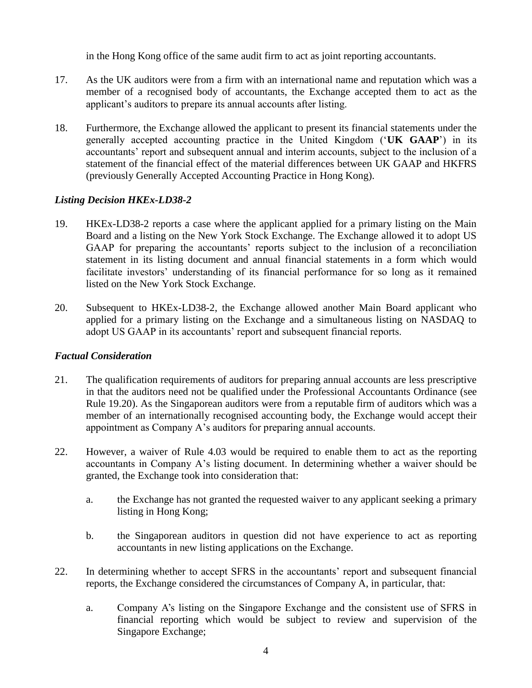in the Hong Kong office of the same audit firm to act as joint reporting accountants.

- 17. As the UK auditors were from a firm with an international name and reputation which was a member of a recognised body of accountants, the Exchange accepted them to act as the applicant's auditors to prepare its annual accounts after listing.
- 18. Furthermore, the Exchange allowed the applicant to present its financial statements under the generally accepted accounting practice in the United Kingdom ('**UK GAAP**') in its accountants' report and subsequent annual and interim accounts, subject to the inclusion of a statement of the financial effect of the material differences between UK GAAP and HKFRS (previously Generally Accepted Accounting Practice in Hong Kong).

## *Listing Decision HKEx-LD38-2*

- 19. HKEx-LD38-2 reports a case where the applicant applied for a primary listing on the Main Board and a listing on the New York Stock Exchange. The Exchange allowed it to adopt US GAAP for preparing the accountants' reports subject to the inclusion of a reconciliation statement in its listing document and annual financial statements in a form which would facilitate investors' understanding of its financial performance for so long as it remained listed on the New York Stock Exchange.
- 20. Subsequent to HKEx-LD38-2, the Exchange allowed another Main Board applicant who applied for a primary listing on the Exchange and a simultaneous listing on NASDAQ to adopt US GAAP in its accountants' report and subsequent financial reports.

### *Factual Consideration*

- 21. The qualification requirements of auditors for preparing annual accounts are less prescriptive in that the auditors need not be qualified under the Professional Accountants Ordinance (see Rule 19.20). As the Singaporean auditors were from a reputable firm of auditors which was a member of an internationally recognised accounting body, the Exchange would accept their appointment as Company A's auditors for preparing annual accounts.
- 22. However, a waiver of Rule 4.03 would be required to enable them to act as the reporting accountants in Company A's listing document. In determining whether a waiver should be granted, the Exchange took into consideration that:
	- a. the Exchange has not granted the requested waiver to any applicant seeking a primary listing in Hong Kong;
	- b. the Singaporean auditors in question did not have experience to act as reporting accountants in new listing applications on the Exchange.
- 22. In determining whether to accept SFRS in the accountants' report and subsequent financial reports, the Exchange considered the circumstances of Company A, in particular, that:
	- a. Company A's listing on the Singapore Exchange and the consistent use of SFRS in financial reporting which would be subject to review and supervision of the Singapore Exchange;